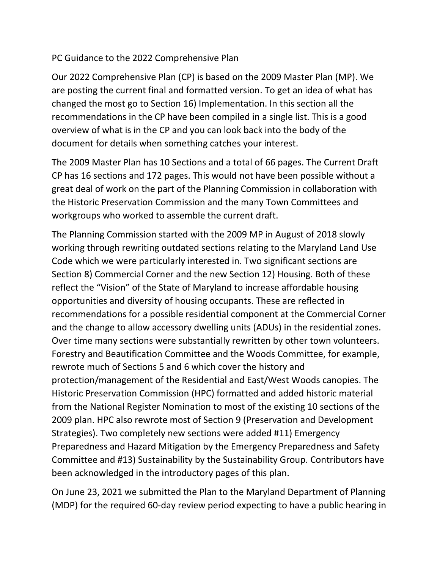## PC Guidance to the 2022 Comprehensive Plan

Our 2022 Comprehensive Plan (CP) is based on the 2009 Master Plan (MP). We are posting the current final and formatted version. To get an idea of what has changed the most go to Section 16) Implementation. In this section all the recommendations in the CP have been compiled in a single list. This is a good overview of what is in the CP and you can look back into the body of the document for details when something catches your interest.

The 2009 Master Plan has 10 Sections and a total of 66 pages. The Current Draft CP has 16 sections and 172 pages. This would not have been possible without a great deal of work on the part of the Planning Commission in collaboration with the Historic Preservation Commission and the many Town Committees and workgroups who worked to assemble the current draft.

The Planning Commission started with the 2009 MP in August of 2018 slowly working through rewriting outdated sections relating to the Maryland Land Use Code which we were particularly interested in. Two significant sections are Section 8) Commercial Corner and the new Section 12) Housing. Both of these reflect the "Vision" of the State of Maryland to increase affordable housing opportunities and diversity of housing occupants. These are reflected in recommendations for a possible residential component at the Commercial Corner and the change to allow accessory dwelling units (ADUs) in the residential zones. Over time many sections were substantially rewritten by other town volunteers. Forestry and Beautification Committee and the Woods Committee, for example, rewrote much of Sections 5 and 6 which cover the history and protection/management of the Residential and East/West Woods canopies. The Historic Preservation Commission (HPC) formatted and added historic material from the National Register Nomination to most of the existing 10 sections of the 2009 plan. HPC also rewrote most of Section 9 (Preservation and Development Strategies). Two completely new sections were added #11) Emergency Preparedness and Hazard Mitigation by the Emergency Preparedness and Safety Committee and #13) Sustainability by the Sustainability Group. Contributors have been acknowledged in the introductory pages of this plan.

On June 23, 2021 we submitted the Plan to the Maryland Department of Planning (MDP) for the required 60-day review period expecting to have a public hearing in